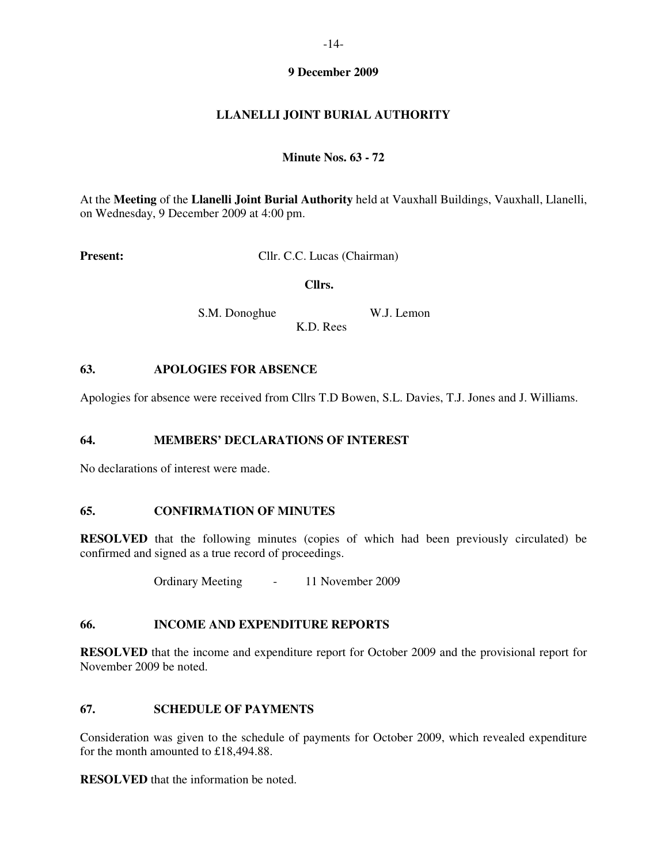## **9 December 2009**

# **LLANELLI JOINT BURIAL AUTHORITY**

## **Minute Nos. 63 - 72**

At the **Meeting** of the **Llanelli Joint Burial Authority** held at Vauxhall Buildings, Vauxhall, Llanelli, on Wednesday, 9 December 2009 at 4:00 pm.

**Present:** Cllr. C.C. Lucas (Chairman)

 **Cllrs.** 

S.M. Donoghue W.J. Lemon K.D. Rees

#### **63. APOLOGIES FOR ABSENCE**

Apologies for absence were received from Cllrs T.D Bowen, S.L. Davies, T.J. Jones and J. Williams.

## **64. MEMBERS' DECLARATIONS OF INTEREST**

No declarations of interest were made.

## **65. CONFIRMATION OF MINUTES**

**RESOLVED** that the following minutes (copies of which had been previously circulated) be confirmed and signed as a true record of proceedings.

Ordinary Meeting - 11 November 2009

## **66. INCOME AND EXPENDITURE REPORTS**

**RESOLVED** that the income and expenditure report for October 2009 and the provisional report for November 2009 be noted.

#### **67. SCHEDULE OF PAYMENTS**

Consideration was given to the schedule of payments for October 2009, which revealed expenditure for the month amounted to £18,494.88.

**RESOLVED** that the information be noted.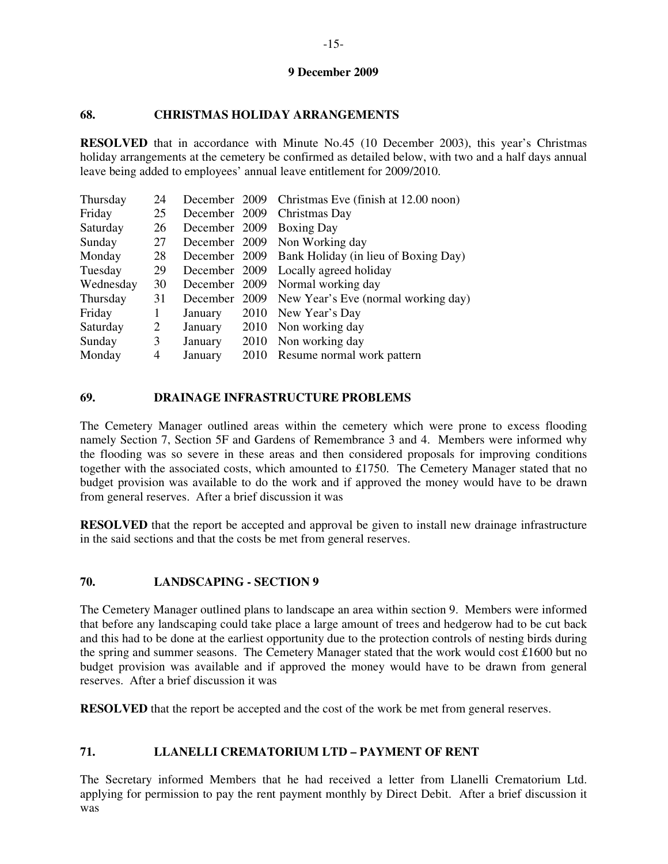## **9 December 2009**

### **68. CHRISTMAS HOLIDAY ARRANGEMENTS**

**RESOLVED** that in accordance with Minute No.45 (10 December 2003), this year's Christmas holiday arrangements at the cemetery be confirmed as detailed below, with two and a half days annual leave being added to employees' annual leave entitlement for 2009/2010.

| Thursday  | 24 |         |      | December 2009 Christmas Eve (finish at 12.00 noon) |
|-----------|----|---------|------|----------------------------------------------------|
| Friday    | 25 |         |      | December 2009 Christmas Day                        |
| Saturday  | 26 |         |      | December 2009 Boxing Day                           |
| Sunday    | 27 |         |      | December 2009 Non Working day                      |
| Monday    | 28 |         |      | December 2009 Bank Holiday (in lieu of Boxing Day) |
| Tuesday   | 29 |         |      | December 2009 Locally agreed holiday               |
| Wednesday | 30 |         |      | December 2009 Normal working day                   |
| Thursday  | 31 |         |      | December 2009 New Year's Eve (normal working day)  |
| Friday    | 1  | January |      | 2010 New Year's Day                                |
| Saturday  | 2  | January |      | 2010 Non working day                               |
| Sunday    | 3  | January |      | 2010 Non working day                               |
| Monday    | 4  | January | 2010 | Resume normal work pattern                         |

#### **69. DRAINAGE INFRASTRUCTURE PROBLEMS**

The Cemetery Manager outlined areas within the cemetery which were prone to excess flooding namely Section 7, Section 5F and Gardens of Remembrance 3 and 4. Members were informed why the flooding was so severe in these areas and then considered proposals for improving conditions together with the associated costs, which amounted to £1750. The Cemetery Manager stated that no budget provision was available to do the work and if approved the money would have to be drawn from general reserves. After a brief discussion it was

**RESOLVED** that the report be accepted and approval be given to install new drainage infrastructure in the said sections and that the costs be met from general reserves.

## **70. LANDSCAPING - SECTION 9**

The Cemetery Manager outlined plans to landscape an area within section 9. Members were informed that before any landscaping could take place a large amount of trees and hedgerow had to be cut back and this had to be done at the earliest opportunity due to the protection controls of nesting birds during the spring and summer seasons. The Cemetery Manager stated that the work would cost £1600 but no budget provision was available and if approved the money would have to be drawn from general reserves. After a brief discussion it was

**RESOLVED** that the report be accepted and the cost of the work be met from general reserves.

## **71. LLANELLI CREMATORIUM LTD – PAYMENT OF RENT**

The Secretary informed Members that he had received a letter from Llanelli Crematorium Ltd. applying for permission to pay the rent payment monthly by Direct Debit. After a brief discussion it was